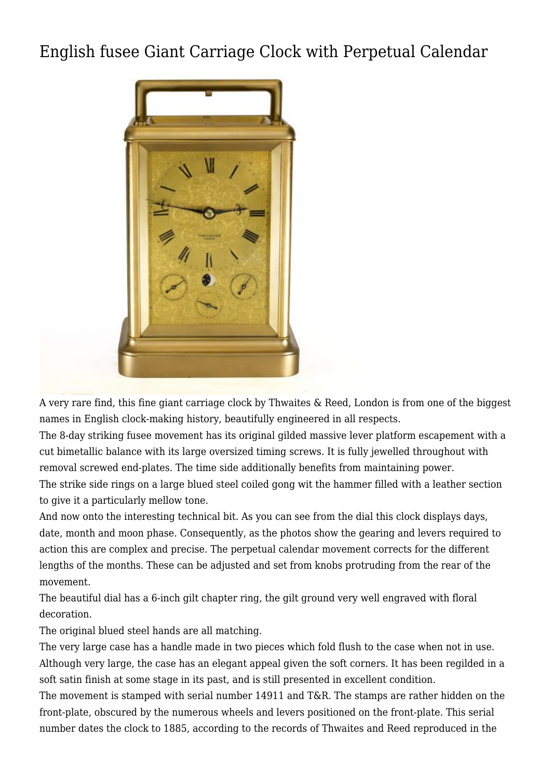## [English fusee Giant Carriage Clock with Perpetual Calendar](http://www.ukclocks.com/products/english-fusee-carriage-clock-with-perpetual-calendar/)



A very rare find, this fine giant carriage clock by Thwaites & Reed, London is from one of the biggest names in English clock-making history, beautifully engineered in all respects.

The 8-day striking fusee movement has its original gilded massive lever platform escapement with a cut bimetallic balance with its large oversized timing screws. It is fully jewelled throughout with removal screwed end-plates. The time side additionally benefits from maintaining power. The strike side rings on a large blued steel coiled gong wit the hammer filled with a leather section to give it a particularly mellow tone.

And now onto the interesting technical bit. As you can see from the dial this clock displays days, date, month and moon phase. Consequently, as the photos show the gearing and levers required to action this are complex and precise. The perpetual calendar movement corrects for the different lengths of the months. These can be adjusted and set from knobs protruding from the rear of the movement.

The beautiful dial has a 6-inch gilt chapter ring, the gilt ground very well engraved with floral decoration.

The original blued steel hands are all matching.

The very large case has a handle made in two pieces which fold flush to the case when not in use. Although very large, the case has an elegant appeal given the soft corners. It has been regilded in a soft satin finish at some stage in its past, and is still presented in excellent condition.

The movement is stamped with serial number 14911 and T&R. The stamps are rather hidden on the front-plate, obscured by the numerous wheels and levers positioned on the front-plate. This serial number dates the clock to 1885, according to the records of Thwaites and Reed reproduced in the